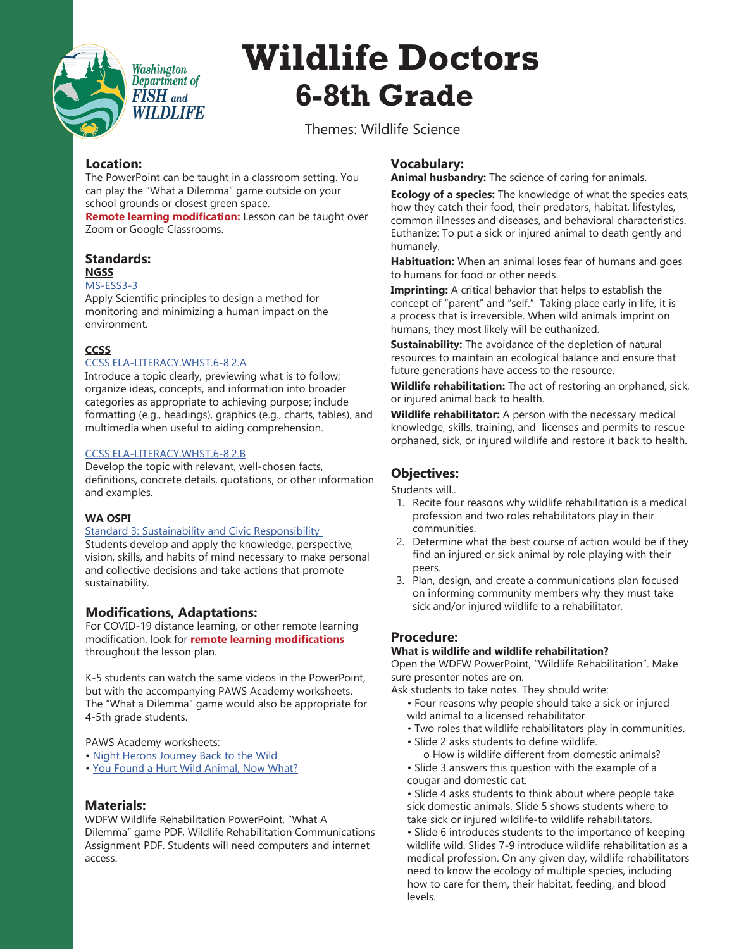

# **Wildlife Doctors 6-8th Grade**

Themes: Wildlife Science

# **Location:**

The PowerPoint can be taught in a classroom setting. You can play the "What a Dilemma" game outside on your school grounds or closest green space.

**Remote learning modification:** Lesson can be taught over Zoom or Google Classrooms.

# **Standards:**

#### **NGSS**

# [MS-ESS3-3](https://www.nextgenscience.org/pe/ms-ess3-3-earth-and-human-activity)

Apply Scientific principles to design a method for monitoring and minimizing a human impact on the environment.

# **CCSS**

# [CCSS.ELA-LITERACY.WHST.6-8.2.A](http://www.corestandards.org/ELA-Literacy/WHST/6-8/2/a/)

Introduce a topic clearly, previewing what is to follow; organize ideas, concepts, and information into broader categories as appropriate to achieving purpose; include formatting (e.g., headings), graphics (e.g., charts, tables), and [m](http://www.corestandards.org/ELA-Literacy/WHST/6-8/2/b/)ultimedia when useful to aiding comprehension.

# [CCSS.ELA-LITERACY.WHST.6-8.2.B](http://www.corestandards.org/ELA-Literacy/WHST/6-8/2/b/)

Develop the topic with relevant, well-chosen facts, definitions, concrete details, quotations, or other information and examples.

# **WA OSPI**

## [Standard 3: Sustainability and Civic Responsibility](https://www.k12.wa.us/sites/default/files/public/environmentsustainability/pubdocs/esestandards.pdf)

Students develop and apply the knowledge, perspective, vision, skills, and habits of mind necessary to make personal and collective decisions and take actions that promote sustainability.

For COVID-19 distance learning, or other remote learning modification, look for **remote learning modifications** throughout the lesson plan.

K-5 students can watch the same videos in the PowerPoint, but with the accompanying PAWS Academy worksheets. The "What a Dilemma" game would also be appropriate for 4-5th grade students.

PAWS Academy worksheets:

- • [Night Herons Journey Back to the Wild](https://www.paws.org/education/paws-academy/paws-academy-wl-4/)
- • [You Found a Hurt Wild Animal, Now What?](https://www.paws.org/education/paws-academy/paws-academy-wl-10/)

# **Materials:**

WDFW Wildlife Rehabilitation PowerPoint, "What A Dilemma" game PDF, Wildlife Rehabilitation Communications Assignment PDF. Students will need computers and internet access.

# **Vocabulary:**

**Animal husbandry:** The science of caring for animals.

**Ecology of a species:** The knowledge of what the species eats, how they catch their food, their predators, habitat, lifestyles, common illnesses and diseases, and behavioral characteristics. Euthanize: To put a sick or injured animal to death gently and humanely.

**Habituation:** When an animal loses fear of humans and goes to humans for food or other needs.

**Imprinting:** A critical behavior that helps to establish the concept of "parent" and "self." Taking place early in life, it is a process that is irreversible. When wild animals imprint on humans, they most likely will be euthanized.

**Sustainability:** The avoidance of the depletion of natural resources to maintain an ecological balance and ensure that future generations have access to the resource.

**Wildlife rehabilitation:** The act of restoring an orphaned, sick, or injured animal back to health.

**Wildlife rehabilitator:** A person with the necessary medical knowledge, skills, training, and licenses and permits to rescue orphaned, sick, or injured wildlife and restore it back to health.

# **Objectives:**

Students will..

- 1. Recite four reasons why wildlife rehabilitation is a medical profession and two roles rehabilitators play in their communities.
- 2. Determine what the best course of action would be if they find an injured or sick animal by role playing with their peers.
- 3. Plan, design, and create a communications plan focused on informing community members why they must take sick and/or injured wildlife to a rehabilitator. **Modifications, Adaptations:**

# **Procedure:**

# **What is wildlife and wildlife rehabilitation?**

Open the WDFW PowerPoint, "Wildlife Rehabilitation". Make sure presenter notes are on.

Ask students to take notes. They should write:

- Four reasons why people should take a sick or injured wild animal to a licensed rehabilitator
- Two roles that wildlife rehabilitators play in communities.
- Slide 2 asks students to define wildlife.

o How is wildlife different from domestic animals? • Slide 3 answers this question with the example of a cougar and domestic cat.

• Slide 4 asks students to think about where people take sick domestic animals. Slide 5 shows students where to take sick or injured wildlife-to wildlife rehabilitators.

• Slide 6 introduces students to the importance of keeping wildlife wild. Slides 7-9 introduce wildlife rehabilitation as a medical profession. On any given day, wildlife rehabilitators need to know the ecology of multiple species, including how to care for them, their habitat, feeding, and blood levels.